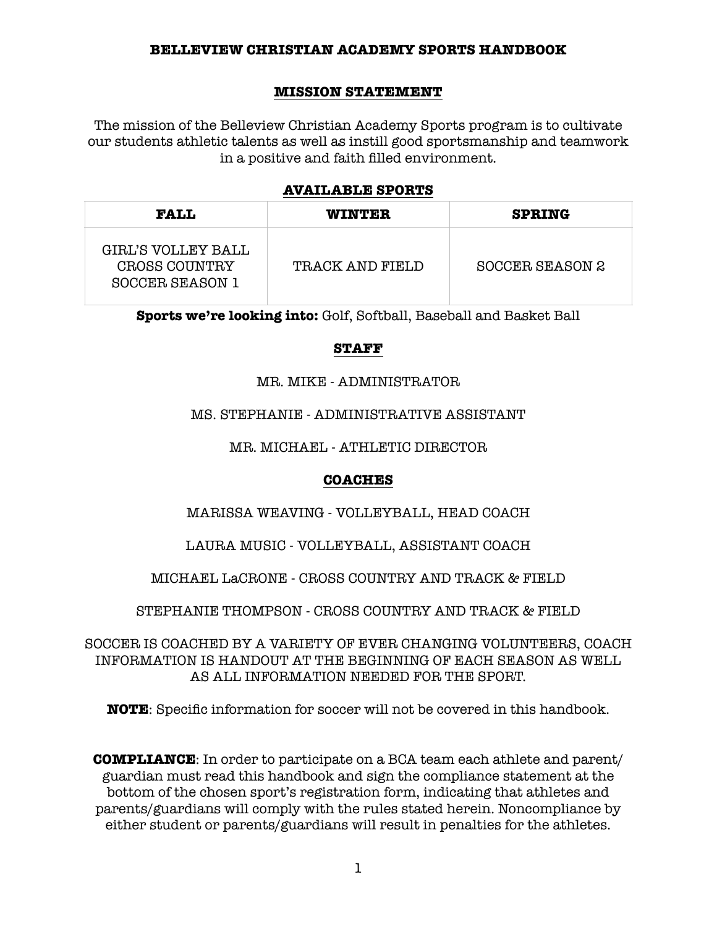#### **MISSION STATEMENT**

The mission of the Belleview Christian Academy Sports program is to cultivate our students athletic talents as well as instill good sportsmanship and teamwork in a positive and faith filled environment.

#### **AVAILABLE SPORTS**

| <b>FALL</b>                                                   | <b>WINTER</b>   | <b>SPRING</b>   |
|---------------------------------------------------------------|-----------------|-----------------|
| GIRL'S VOLLEY BALL<br>CROSS COUNTRY<br><b>SOCCER SEASON 1</b> | TRACK AND FIELD | SOCCER SEASON 2 |

**Sports we're looking into:** Golf, Softball, Baseball and Basket Ball

## **STAFF**

#### MR. MIKE - ADMINISTRATOR

#### MS. STEPHANIE - ADMINISTRATIVE ASSISTANT

MR. MICHAEL - ATHLETIC DIRECTOR

## **COACHES**

MARISSA WEAVING - VOLLEYBALL, HEAD COACH

LAURA MUSIC - VOLLEYBALL, ASSISTANT COACH

MICHAEL LaCRONE - CROSS COUNTRY AND TRACK & FIELD

STEPHANIE THOMPSON - CROSS COUNTRY AND TRACK & FIELD

SOCCER IS COACHED BY A VARIETY OF EVER CHANGING VOLUNTEERS, COACH INFORMATION IS HANDOUT AT THE BEGINNING OF EACH SEASON AS WELL AS ALL INFORMATION NEEDED FOR THE SPORT.

**NOTE**: Specific information for soccer will not be covered in this handbook.

**COMPLIANCE**: In order to participate on a BCA team each athlete and parent/ guardian must read this handbook and sign the compliance statement at the bottom of the chosen sport's registration form, indicating that athletes and parents/guardians will comply with the rules stated herein. Noncompliance by either student or parents/guardians will result in penalties for the athletes.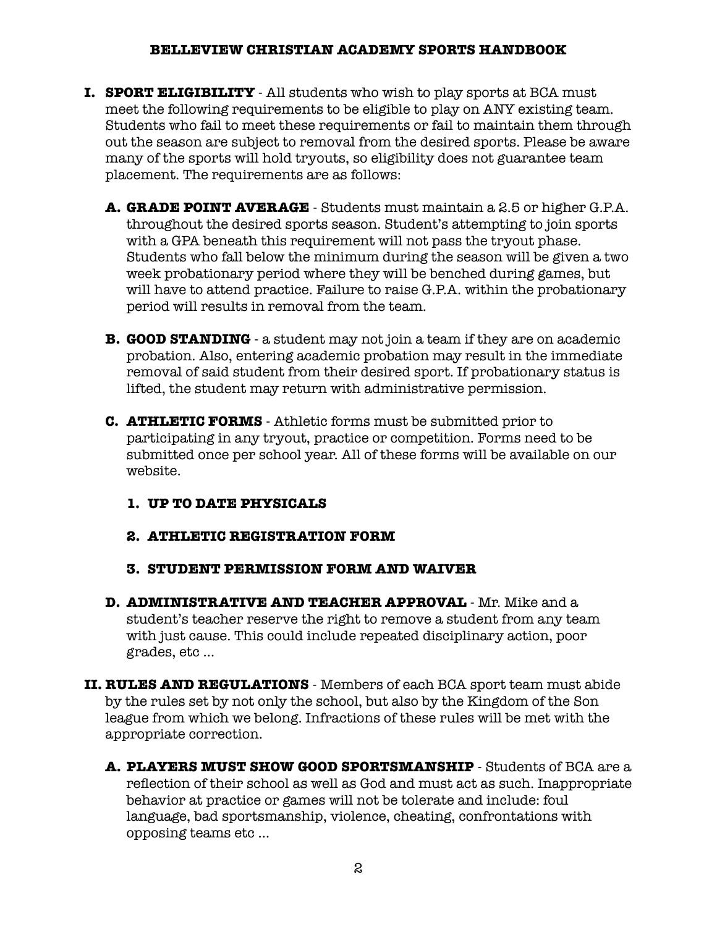- **I. SPORT ELIGIBILITY**  All students who wish to play sports at BCA must meet the following requirements to be eligible to play on ANY existing team. Students who fail to meet these requirements or fail to maintain them through out the season are subject to removal from the desired sports. Please be aware many of the sports will hold tryouts, so eligibility does not guarantee team placement. The requirements are as follows:
	- **A. GRADE POINT AVERAGE**  Students must maintain a 2.5 or higher G.P.A. throughout the desired sports season. Student's attempting to join sports with a GPA beneath this requirement will not pass the tryout phase. Students who fall below the minimum during the season will be given a two week probationary period where they will be benched during games, but will have to attend practice. Failure to raise G.P.A. within the probationary period will results in removal from the team.
	- **B. GOOD STANDING** a student may not join a team if they are on academic probation. Also, entering academic probation may result in the immediate removal of said student from their desired sport. If probationary status is lifted, the student may return with administrative permission.
	- **C. ATHLETIC FORMS**  Athletic forms must be submitted prior to participating in any tryout, practice or competition. Forms need to be submitted once per school year. All of these forms will be available on our website.
		- **1. UP TO DATE PHYSICALS**
		- **2. ATHLETIC REGISTRATION FORM**
		- **3. STUDENT PERMISSION FORM AND WAIVER**
	- **D. ADMINISTRATIVE AND TEACHER APPROVAL**  Mr. Mike and a student's teacher reserve the right to remove a student from any team with just cause. This could include repeated disciplinary action, poor grades, etc …
- **II. RULES AND REGULATIONS**  Members of each BCA sport team must abide by the rules set by not only the school, but also by the Kingdom of the Son league from which we belong. Infractions of these rules will be met with the appropriate correction.
	- **A. PLAYERS MUST SHOW GOOD SPORTSMANSHIP**  Students of BCA are a reflection of their school as well as God and must act as such. Inappropriate behavior at practice or games will not be tolerate and include: foul language, bad sportsmanship, violence, cheating, confrontations with opposing teams etc …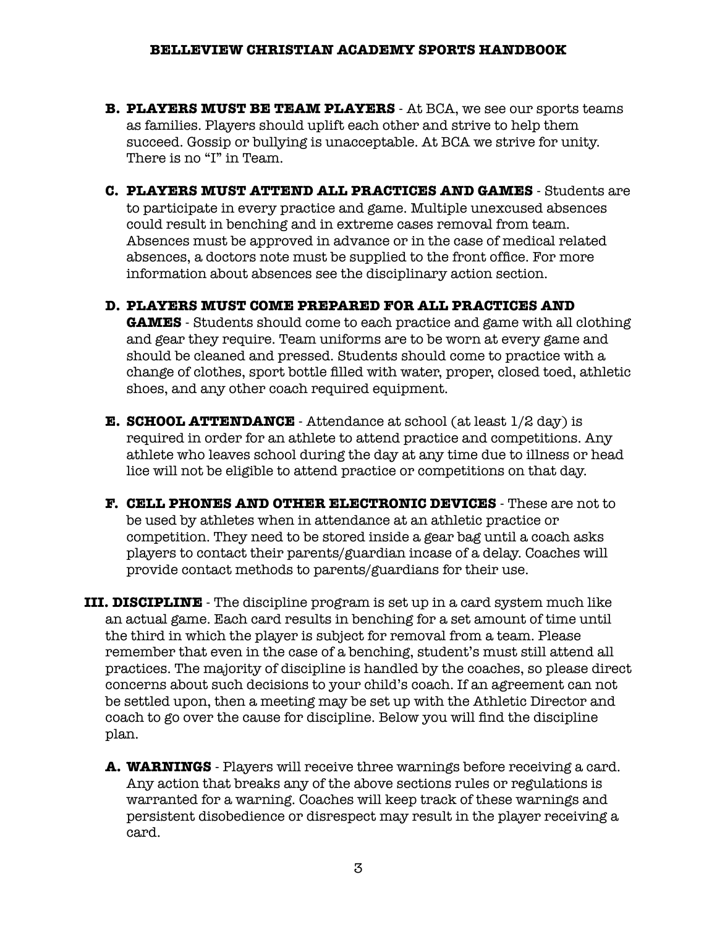- **B. PLAYERS MUST BE TEAM PLAYERS** At BCA, we see our sports teams as families. Players should uplift each other and strive to help them succeed. Gossip or bullying is unacceptable. At BCA we strive for unity. There is no "I" in Team.
- **C. PLAYERS MUST ATTEND ALL PRACTICES AND GAMES** Students are to participate in every practice and game. Multiple unexcused absences could result in benching and in extreme cases removal from team. Absences must be approved in advance or in the case of medical related absences, a doctors note must be supplied to the front office. For more information about absences see the disciplinary action section.
- **D. PLAYERS MUST COME PREPARED FOR ALL PRACTICES AND GAMES** - Students should come to each practice and game with all clothing and gear they require. Team uniforms are to be worn at every game and should be cleaned and pressed. Students should come to practice with a change of clothes, sport bottle filled with water, proper, closed toed, athletic shoes, and any other coach required equipment.
- **E. SCHOOL ATTENDANCE** Attendance at school (at least 1/2 day) is required in order for an athlete to attend practice and competitions. Any athlete who leaves school during the day at any time due to illness or head lice will not be eligible to attend practice or competitions on that day.
- **F. CELL PHONES AND OTHER ELECTRONIC DEVICES** These are not to be used by athletes when in attendance at an athletic practice or competition. They need to be stored inside a gear bag until a coach asks players to contact their parents/guardian incase of a delay. Coaches will provide contact methods to parents/guardians for their use.
- **III. DISCIPLINE** The discipline program is set up in a card system much like an actual game. Each card results in benching for a set amount of time until the third in which the player is subject for removal from a team. Please remember that even in the case of a benching, student's must still attend all practices. The majority of discipline is handled by the coaches, so please direct concerns about such decisions to your child's coach. If an agreement can not be settled upon, then a meeting may be set up with the Athletic Director and coach to go over the cause for discipline. Below you will find the discipline plan.
	- **A. WARNINGS** Players will receive three warnings before receiving a card. Any action that breaks any of the above sections rules or regulations is warranted for a warning. Coaches will keep track of these warnings and persistent disobedience or disrespect may result in the player receiving a card.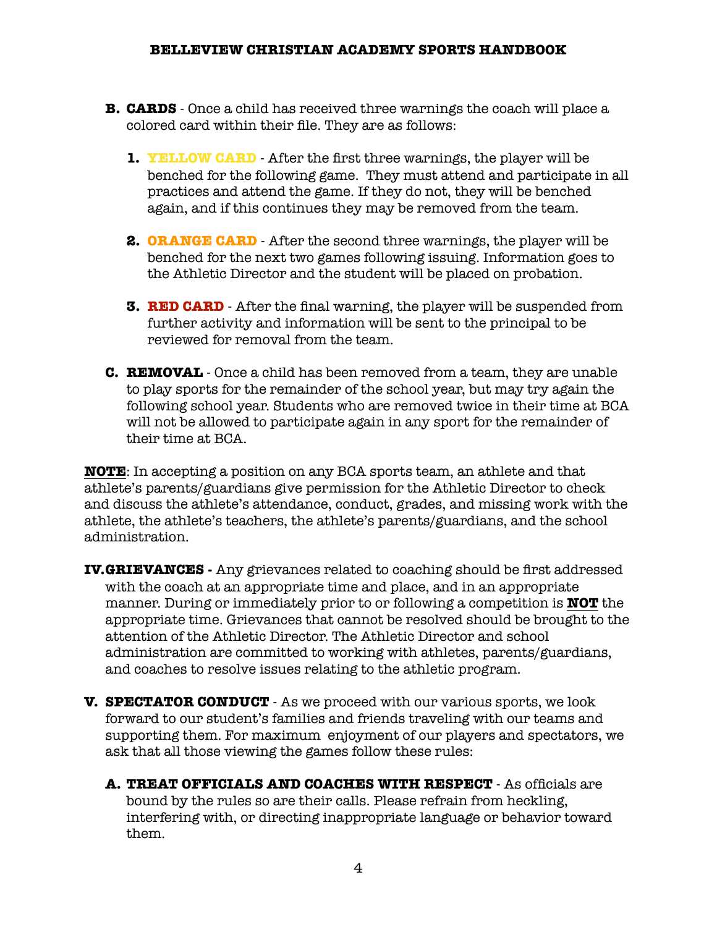- **B. CARDS** Once a child has received three warnings the coach will place a colored card within their file. They are as follows:
	- **1. YELLOW CARD** After the first three warnings, the player will be benched for the following game. They must attend and participate in all practices and attend the game. If they do not, they will be benched again, and if this continues they may be removed from the team.
	- **2. ORANGE CARD** After the second three warnings, the player will be benched for the next two games following issuing. Information goes to the Athletic Director and the student will be placed on probation.
	- **3. RED CARD** After the final warning, the player will be suspended from further activity and information will be sent to the principal to be reviewed for removal from the team.
- **C. REMOVAL** Once a child has been removed from a team, they are unable to play sports for the remainder of the school year, but may try again the following school year. Students who are removed twice in their time at BCA will not be allowed to participate again in any sport for the remainder of their time at BCA.

**NOTE**: In accepting a position on any BCA sports team, an athlete and that athlete's parents/guardians give permission for the Athletic Director to check and discuss the athlete's attendance, conduct, grades, and missing work with the athlete, the athlete's teachers, the athlete's parents/guardians, and the school administration.

- **IV.GRIEVANCES** Any grievances related to coaching should be first addressed with the coach at an appropriate time and place, and in an appropriate manner. During or immediately prior to or following a competition is **NOT** the appropriate time. Grievances that cannot be resolved should be brought to the attention of the Athletic Director. The Athletic Director and school administration are committed to working with athletes, parents/guardians, and coaches to resolve issues relating to the athletic program.
- **V. SPECTATOR CONDUCT** As we proceed with our various sports, we look forward to our student's families and friends traveling with our teams and supporting them. For maximum enjoyment of our players and spectators, we ask that all those viewing the games follow these rules:
	- **A. TREAT OFFICIALS AND COACHES WITH RESPECT** As officials are bound by the rules so are their calls. Please refrain from heckling, interfering with, or directing inappropriate language or behavior toward them.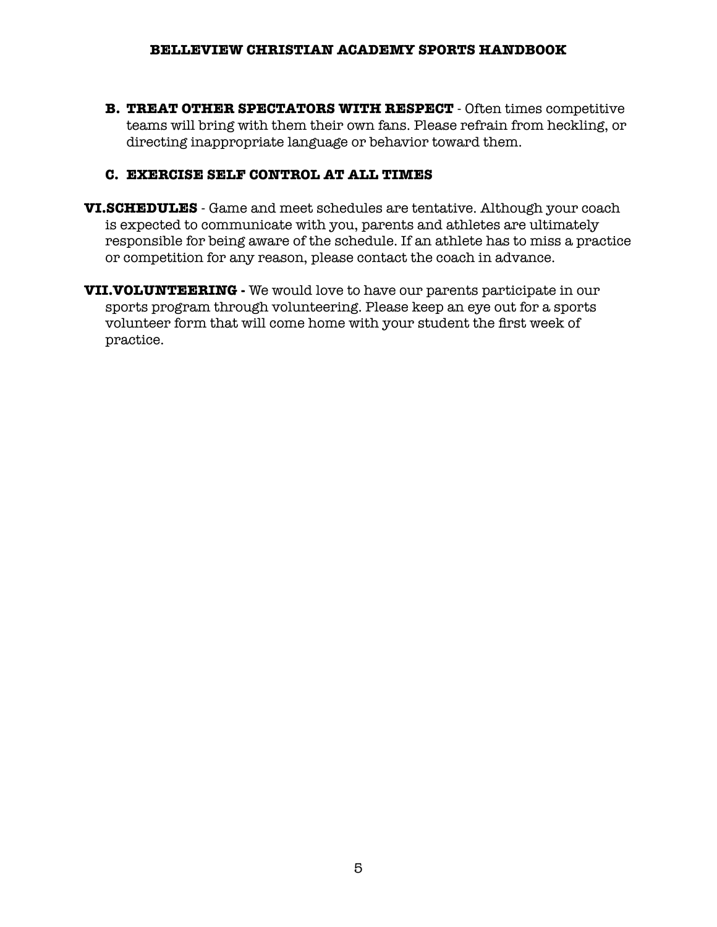**B. TREAT OTHER SPECTATORS WITH RESPECT** - Often times competitive teams will bring with them their own fans. Please refrain from heckling, or directing inappropriate language or behavior toward them.

## **C. EXERCISE SELF CONTROL AT ALL TIMES**

- **VI.SCHEDULES** Game and meet schedules are tentative. Although your coach is expected to communicate with you, parents and athletes are ultimately responsible for being aware of the schedule. If an athlete has to miss a practice or competition for any reason, please contact the coach in advance.
- **VII.VOLUNTEERING** We would love to have our parents participate in our sports program through volunteering. Please keep an eye out for a sports volunteer form that will come home with your student the first week of practice.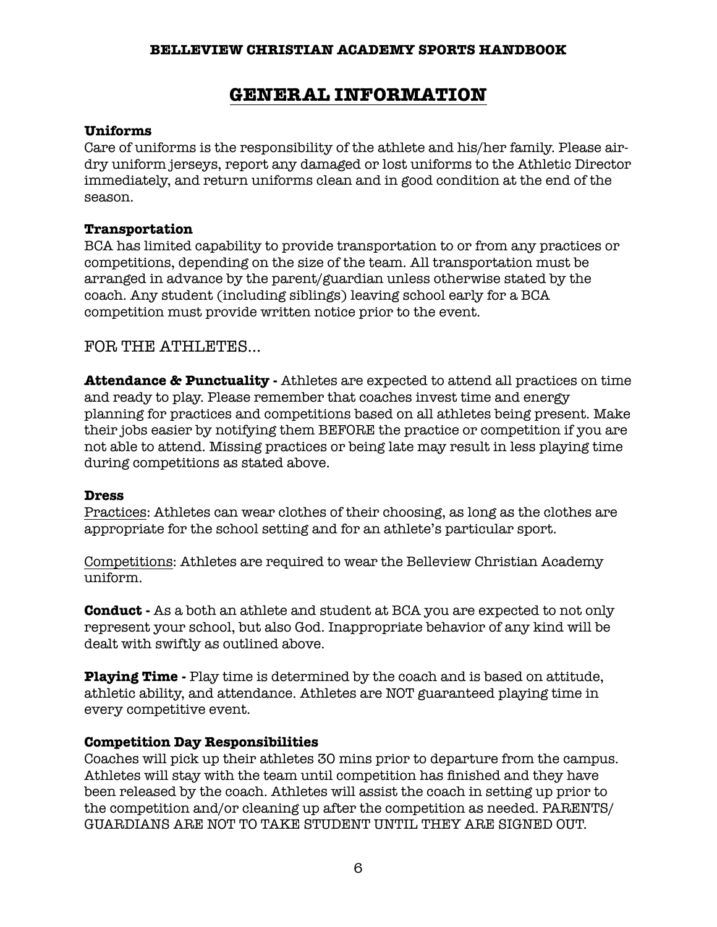## **GENERAL INFORMATION**

#### **Uniforms**

Care of uniforms is the responsibility of the athlete and his/her family. Please airdry uniform jerseys, report any damaged or lost uniforms to the Athletic Director immediately, and return uniforms clean and in good condition at the end of the season.

#### **Transportation**

BCA has limited capability to provide transportation to or from any practices or competitions, depending on the size of the team. All transportation must be arranged in advance by the parent/guardian unless otherwise stated by the coach. Any student (including siblings) leaving school early for a BCA competition must provide written notice prior to the event.

## FOR THE ATHLETES...

**Attendance & Punctuality -** Athletes are expected to attend all practices on time and ready to play. Please remember that coaches invest time and energy planning for practices and competitions based on all athletes being present. Make their jobs easier by notifying them BEFORE the practice or competition if you are not able to attend. Missing practices or being late may result in less playing time during competitions as stated above.

#### **Dress**

Practices: Athletes can wear clothes of their choosing, as long as the clothes are appropriate for the school setting and for an athlete's particular sport.

Competitions: Athletes are required to wear the Belleview Christian Academy uniform.

**Conduct -** As a both an athlete and student at BCA you are expected to not only represent your school, but also God. Inappropriate behavior of any kind will be dealt with swiftly as outlined above.

**Playing Time -** Play time is determined by the coach and is based on attitude, athletic ability, and attendance. Athletes are NOT guaranteed playing time in every competitive event.

## **Competition Day Responsibilities**

Coaches will pick up their athletes 30 mins prior to departure from the campus. Athletes will stay with the team until competition has finished and they have been released by the coach. Athletes will assist the coach in setting up prior to the competition and/or cleaning up after the competition as needed. PARENTS/ GUARDIANS ARE NOT TO TAKE STUDENT UNTIL THEY ARE SIGNED OUT.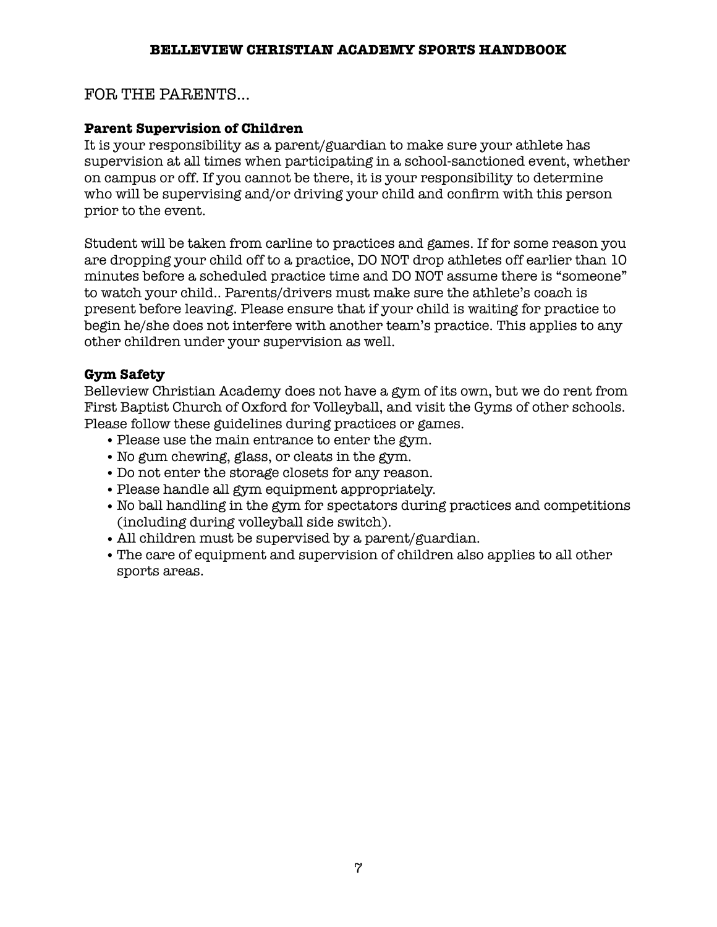## FOR THE PARENTS...

## **Parent Supervision of Children**

It is your responsibility as a parent/guardian to make sure your athlete has supervision at all times when participating in a school-sanctioned event, whether on campus or off. If you cannot be there, it is your responsibility to determine who will be supervising and/or driving your child and confirm with this person prior to the event.

Student will be taken from carline to practices and games. If for some reason you are dropping your child off to a practice, DO NOT drop athletes off earlier than 10 minutes before a scheduled practice time and DO NOT assume there is "someone" to watch your child.. Parents/drivers must make sure the athlete's coach is present before leaving. Please ensure that if your child is waiting for practice to begin he/she does not interfere with another team's practice. This applies to any other children under your supervision as well.

## **Gym Safety**

Belleview Christian Academy does not have a gym of its own, but we do rent from First Baptist Church of Oxford for Volleyball, and visit the Gyms of other schools. Please follow these guidelines during practices or games.

- **•**Please use the main entrance to enter the gym.
- **•**No gum chewing, glass, or cleats in the gym.
- **•** Do not enter the storage closets for any reason.
- **•**Please handle all gym equipment appropriately.
- **•**No ball handling in the gym for spectators during practices and competitions (including during volleyball side switch).
- **•** All children must be supervised by a parent/guardian.
- **•**The care of equipment and supervision of children also applies to all other sports areas.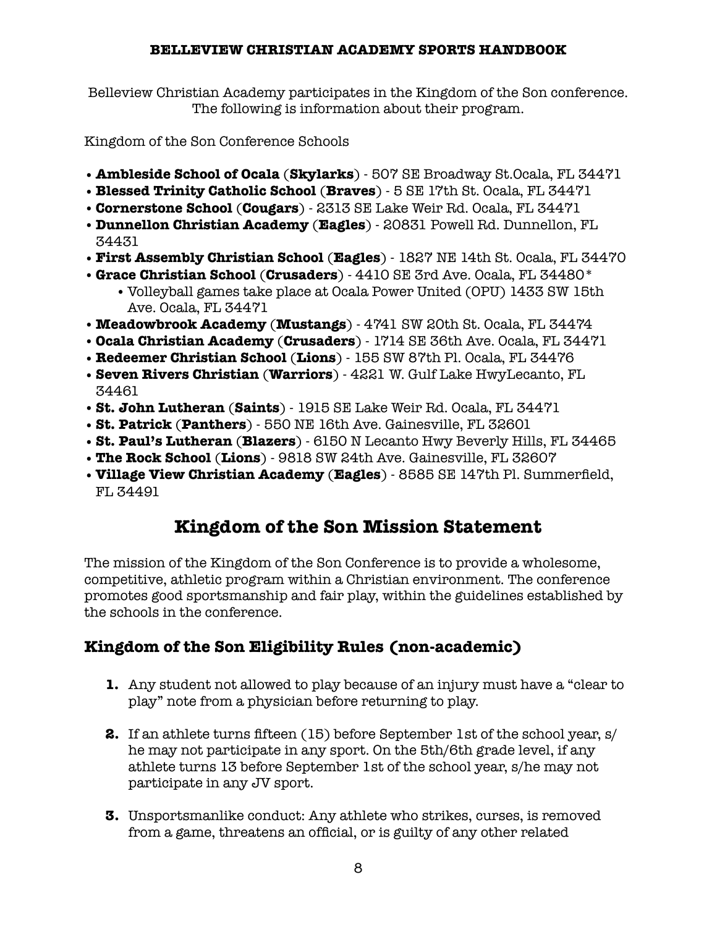Belleview Christian Academy participates in the Kingdom of the Son conference. The following is information about their program.

Kingdom of the Son Conference Schools

- **• Ambleside School of Ocala** (**Skylarks**) 507 SE Broadway St.Ocala, FL 34471
- **• Blessed Trinity Catholic School** (**Braves**) 5 SE 17th St. Ocala, FL 34471
- **•Cornerstone School** (**Cougars**) 2313 SE Lake Weir Rd. Ocala, FL 34471
- **• Dunnellon Christian Academy** (**Eagles**) 20831 Powell Rd. Dunnellon, FL 34431
- **• First Assembly Christian School** (**Eagles**) 1827 NE 14th St. Ocala, FL 34470
- **• Grace Christian School** (**Crusaders**) 4410 SE 3rd Ave. Ocala, FL 34480\*
	- **•** Volleyball games take place at Ocala Power United (OPU) 1433 SW 15th Ave. Ocala, FL 34471
- **•Meadowbrook Academy** (**Mustangs**) 4741 SW 20th St. Ocala, FL 34474
- **•Ocala Christian Academy** (**Crusaders**) 1714 SE 36th Ave. Ocala, FL 34471
- **•Redeemer Christian School** (**Lions**) 155 SW 87th Pl. Ocala, FL 34476
- **•Seven Rivers Christian** (**Warriors**) 4221 W. Gulf Lake HwyLecanto, FL 34461
- **•St. John Lutheran** (**Saints**) 1915 SE Lake Weir Rd. Ocala, FL 34471
- **•St. Patrick** (**Panthers**) 550 NE 16th Ave. Gainesville, FL 32601
- **•St. Paul's Lutheran** (**Blazers**) 6150 N Lecanto Hwy Beverly Hills, FL 34465
- **•The Rock School** (**Lions**) 9818 SW 24th Ave. Gainesville, FL 32607
- **•Village View Christian Academy** (**Eagles**) 8585 SE 147th Pl. Summerfield, FL 34491

# **Kingdom of the Son Mission Statement**

The mission of the Kingdom of the Son Conference is to provide a wholesome, competitive, athletic program within a Christian environment. The conference promotes good sportsmanship and fair play, within the guidelines established by the schools in the conference.

# **Kingdom of the Son Eligibility Rules (non-academic)**

- **1.** Any student not allowed to play because of an injury must have a "clear to play" note from a physician before returning to play.
- **2.** If an athlete turns fifteen (15) before September 1st of the school year, s/ he may not participate in any sport. On the 5th/6th grade level, if any athlete turns 13 before September 1st of the school year, s/he may not participate in any JV sport.
- **3.** Unsportsmanlike conduct: Any athlete who strikes, curses, is removed from a game, threatens an official, or is guilty of any other related